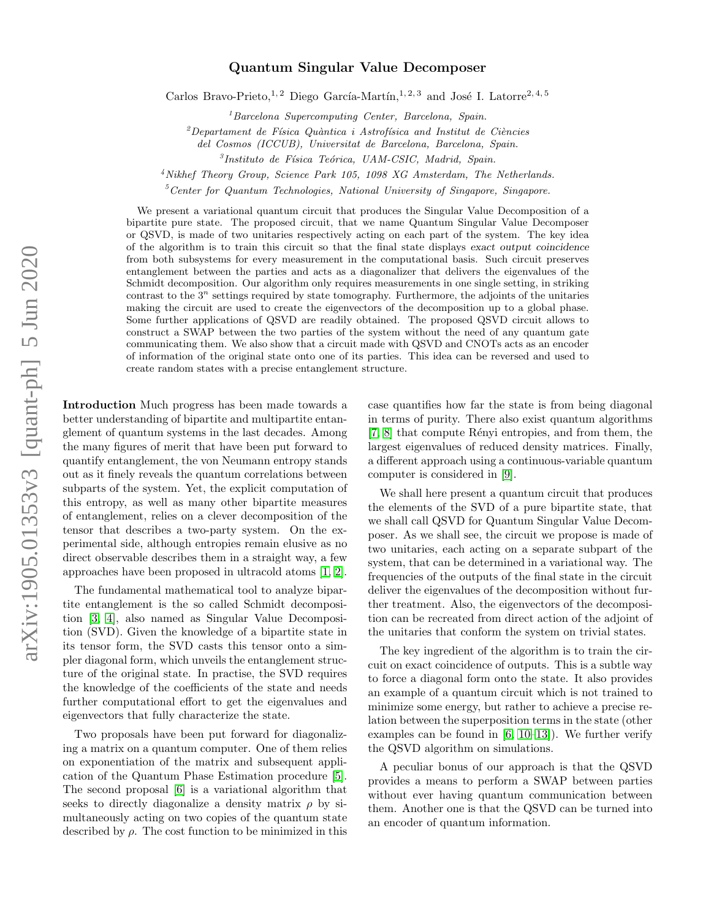## Quantum Singular Value Decomposer

Carlos Bravo-Prieto,<sup>1, 2</sup> Diego García-Martín,<sup>1, 2, 3</sup> and José I. Latorre<sup>2, 4, 5</sup>

 ${}^{1}Barcelona$  Supercomputing Center, Barcelona, Spain.

 $2$ Departament de Física Quàntica i Astrofísica and Institut de Ciències

del Cosmos (ICCUB), Universitat de Barcelona, Barcelona, Spain.

<sup>3</sup>Instituto de Física Teórica, UAM-CSIC, Madrid, Spain.

 $4$ Nikhef Theory Group, Science Park 105, 1098 XG Amsterdam, The Netherlands.

 $5$ Center for Quantum Technologies, National University of Singapore, Singapore.

We present a variational quantum circuit that produces the Singular Value Decomposition of a bipartite pure state. The proposed circuit, that we name Quantum Singular Value Decomposer or QSVD, is made of two unitaries respectively acting on each part of the system. The key idea of the algorithm is to train this circuit so that the final state displays exact output coincidence from both subsystems for every measurement in the computational basis. Such circuit preserves entanglement between the parties and acts as a diagonalizer that delivers the eigenvalues of the Schmidt decomposition. Our algorithm only requires measurements in one single setting, in striking contrast to the  $3^n$  settings required by state tomography. Furthermore, the adjoints of the unitaries making the circuit are used to create the eigenvectors of the decomposition up to a global phase. Some further applications of QSVD are readily obtained. The proposed QSVD circuit allows to construct a SWAP between the two parties of the system without the need of any quantum gate communicating them. We also show that a circuit made with QSVD and CNOTs acts as an encoder of information of the original state onto one of its parties. This idea can be reversed and used to create random states with a precise entanglement structure.

Introduction Much progress has been made towards a better understanding of bipartite and multipartite entanglement of quantum systems in the last decades. Among the many figures of merit that have been put forward to quantify entanglement, the von Neumann entropy stands out as it finely reveals the quantum correlations between subparts of the system. Yet, the explicit computation of this entropy, as well as many other bipartite measures of entanglement, relies on a clever decomposition of the tensor that describes a two-party system. On the experimental side, although entropies remain elusive as no direct observable describes them in a straight way, a few approaches have been proposed in ultracold atoms [\[1,](#page-5-0) [2\]](#page-5-1).

The fundamental mathematical tool to analyze bipartite entanglement is the so called Schmidt decomposition [\[3,](#page-5-2) [4\]](#page-5-3), also named as Singular Value Decomposition (SVD). Given the knowledge of a bipartite state in its tensor form, the SVD casts this tensor onto a simpler diagonal form, which unveils the entanglement structure of the original state. In practise, the SVD requires the knowledge of the coefficients of the state and needs further computational effort to get the eigenvalues and eigenvectors that fully characterize the state.

Two proposals have been put forward for diagonalizing a matrix on a quantum computer. One of them relies on exponentiation of the matrix and subsequent application of the Quantum Phase Estimation procedure [\[5\]](#page-5-4). The second proposal [\[6\]](#page-5-5) is a variational algorithm that seeks to directly diagonalize a density matrix  $\rho$  by simultaneously acting on two copies of the quantum state described by  $\rho$ . The cost function to be minimized in this

case quantifies how far the state is from being diagonal in terms of purity. There also exist quantum algorithms [\[7,](#page-5-6) [8\]](#page-5-7) that compute Rényi entropies, and from them, the largest eigenvalues of reduced density matrices. Finally, a different approach using a continuous-variable quantum computer is considered in [\[9\]](#page-5-8).

We shall here present a quantum circuit that produces the elements of the SVD of a pure bipartite state, that we shall call QSVD for Quantum Singular Value Decomposer. As we shall see, the circuit we propose is made of two unitaries, each acting on a separate subpart of the system, that can be determined in a variational way. The frequencies of the outputs of the final state in the circuit deliver the eigenvalues of the decomposition without further treatment. Also, the eigenvectors of the decomposition can be recreated from direct action of the adjoint of the unitaries that conform the system on trivial states.

The key ingredient of the algorithm is to train the circuit on exact coincidence of outputs. This is a subtle way to force a diagonal form onto the state. It also provides an example of a quantum circuit which is not trained to minimize some energy, but rather to achieve a precise relation between the superposition terms in the state (other examples can be found in  $[6, 10-13]$  $[6, 10-13]$  $[6, 10-13]$ . We further verify the QSVD algorithm on simulations.

A peculiar bonus of our approach is that the QSVD provides a means to perform a SWAP between parties without ever having quantum communication between them. Another one is that the QSVD can be turned into an encoder of quantum information.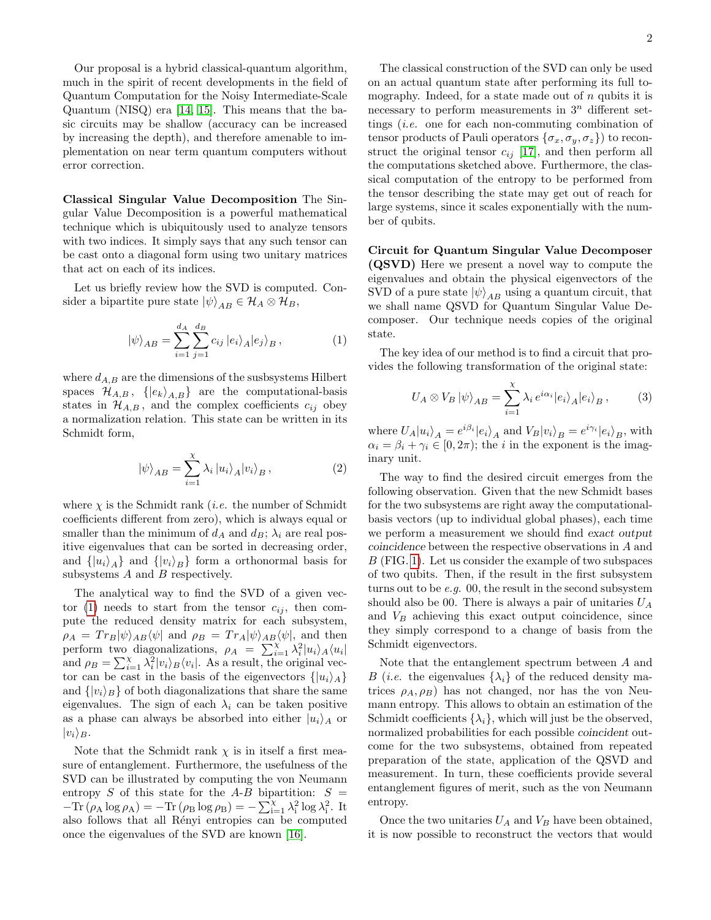Our proposal is a hybrid classical-quantum algorithm, much in the spirit of recent developments in the field of Quantum Computation for the Noisy Intermediate-Scale Quantum (NISQ) era [\[14,](#page-5-11) [15\]](#page-5-12). This means that the basic circuits may be shallow (accuracy can be increased by increasing the depth), and therefore amenable to implementation on near term quantum computers without error correction.

Classical Singular Value Decomposition The Singular Value Decomposition is a powerful mathematical technique which is ubiquitously used to analyze tensors with two indices. It simply says that any such tensor can be cast onto a diagonal form using two unitary matrices that act on each of its indices.

Let us briefly review how the SVD is computed. Consider a bipartite pure state  $|\psi\rangle_{AB} \in \mathcal{H}_A \otimes \mathcal{H}_B$ ,

<span id="page-1-0"></span>
$$
|\psi\rangle_{AB} = \sum_{i=1}^{d_A} \sum_{j=1}^{d_B} c_{ij} |e_i\rangle_A |e_j\rangle_B , \qquad (1)
$$

where  $d_{A,B}$  are the dimensions of the susbsystems Hilbert spaces  $\mathcal{H}_{A,B}$ ,  $\{|e_k\rangle_{A,B}\}\$  are the computational-basis states in  $\mathcal{H}_{A,B}$ , and the complex coefficients  $c_{ij}$  obey a normalization relation. This state can be written in its Schmidt form,

$$
|\psi\rangle_{AB} = \sum_{i=1}^{X} \lambda_i |u_i\rangle_A |v_i\rangle_B , \qquad (2)
$$

where  $\chi$  is the Schmidt rank *(i.e.* the number of Schmidt coefficients different from zero), which is always equal or smaller than the minimum of  $d_A$  and  $d_B$ ;  $\lambda_i$  are real positive eigenvalues that can be sorted in decreasing order, and  $\{|u_i\rangle_A\}$  and  $\{|v_i\rangle_B\}$  form a orthonormal basis for subsystems  $A$  and  $B$  respectively.

The analytical way to find the SVD of a given vec-tor [\(1\)](#page-1-0) needs to start from the tensor  $c_{ij}$ , then compute the reduced density matrix for each subsystem,  $\rho_A = Tr_B|\psi\rangle_{AB}\langle\psi|$  and  $\rho_B = Tr_A|\psi\rangle_{AB}\langle\psi|$ , and then perform two diagonalizations,  $\rho_A = \sum_{i=1}^{\chi} \lambda_i^2 |u_i\rangle_A \langle u_i|$ and  $\rho_B = \sum_{i=1}^{\chi} \lambda_i^2 |v_i\rangle_B \langle v_i|$ . As a result, the original vector can be cast in the basis of the eigenvectors  $\{|u_i\rangle_A\}$ and  $\{|v_i\rangle_B\}$  of both diagonalizations that share the same eigenvalues. The sign of each  $\lambda_i$  can be taken positive as a phase can always be absorbed into either  $|u_i\rangle_A$  or  $|v_i\rangle_B$ .

Note that the Schmidt rank  $\chi$  is in itself a first measure of entanglement. Furthermore, the usefulness of the SVD can be illustrated by computing the von Neumann entropy S of this state for the A-B bipartition:  $S =$  $-\text{Tr}(\rho_A \log \rho_A) = -\text{Tr}(\rho_B \log \rho_B) = -\sum_{i=1}^{\chi} \lambda_i^2 \log \lambda_i^2$ . It also follows that all Rényi entropies can be computed once the eigenvalues of the SVD are known [\[16\]](#page-5-13).

The classical construction of the SVD can only be used on an actual quantum state after performing its full tomography. Indeed, for a state made out of  $n$  qubits it is necessary to perform measurements in  $3^n$  different settings (i.e. one for each non-commuting combination of tensor products of Pauli operators  $\{\sigma_x, \sigma_y, \sigma_z\}$  to reconstruct the original tensor  $c_{ij}$  [\[17\]](#page-5-14), and then perform all the computations sketched above. Furthermore, the classical computation of the entropy to be performed from the tensor describing the state may get out of reach for large systems, since it scales exponentially with the number of qubits.

Circuit for Quantum Singular Value Decomposer (QSVD) Here we present a novel way to compute the eigenvalues and obtain the physical eigenvectors of the SVD of a pure state  $|\psi\rangle_{AB}$  using a quantum circuit, that we shall name QSVD for Quantum Singular Value Decomposer. Our technique needs copies of the original state.

The key idea of our method is to find a circuit that provides the following transformation of the original state:

$$
U_A \otimes V_B |\psi\rangle_{AB} = \sum_{i=1}^{\chi} \lambda_i e^{i\alpha_i} |e_i\rangle_A |e_i\rangle_B , \qquad (3)
$$

where  $U_A|u_i\rangle_A = e^{i\beta_i}|e_i\rangle_A$  and  $V_B|v_i\rangle_B = e^{i\gamma_i}|e_i\rangle_B$ , with  $\alpha_i = \beta_i + \gamma_i \in [0, 2\pi)$ ; the *i* in the exponent is the imaginary unit.

The way to find the desired circuit emerges from the following observation. Given that the new Schmidt bases for the two subsystems are right away the computationalbasis vectors (up to individual global phases), each time we perform a measurement we should find exact output coincidence between the respective observations in A and B (FIG. [1\)](#page-2-0). Let us consider the example of two subspaces of two qubits. Then, if the result in the first subsystem turns out to be  $e.g.$  00, the result in the second subsystem should also be 00. There is always a pair of unitaries  $U_A$ and  $V_B$  achieving this exact output coincidence, since they simply correspond to a change of basis from the Schmidt eigenvectors.

Note that the entanglement spectrum between A and B (*i.e.* the eigenvalues  $\{\lambda_i\}$  of the reduced density matrices  $\rho_A, \rho_B$ ) has not changed, nor has the von Neumann entropy. This allows to obtain an estimation of the Schmidt coefficients  $\{\lambda_i\}$ , which will just be the observed, normalized probabilities for each possible coincident outcome for the two subsystems, obtained from repeated preparation of the state, application of the QSVD and measurement. In turn, these coefficients provide several entanglement figures of merit, such as the von Neumann entropy.

Once the two unitaries  $U_A$  and  $V_B$  have been obtained, it is now possible to reconstruct the vectors that would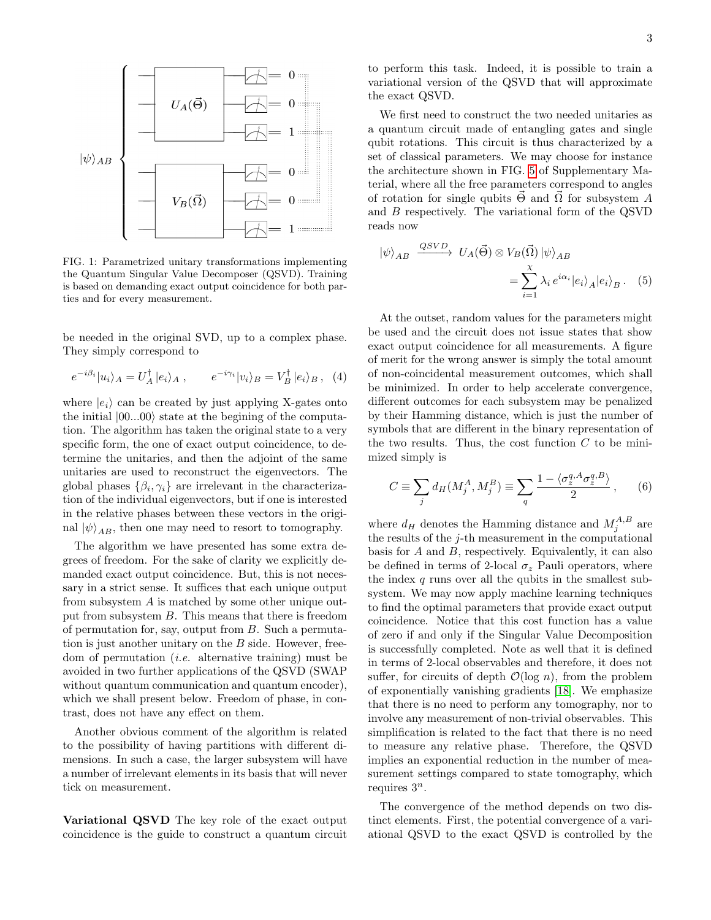

<span id="page-2-0"></span>FIG. 1: Parametrized unitary transformations implementing the Quantum Singular Value Decomposer (QSVD). Training is based on demanding exact output coincidence for both parties and for every measurement.

be needed in the original SVD, up to a complex phase. They simply correspond to

$$
e^{-i\beta_i}|u_i\rangle_A = U_A^{\dagger}|e_i\rangle_A , \qquad e^{-i\gamma_i}|v_i\rangle_B = V_B^{\dagger}|e_i\rangle_B , \quad (4)
$$

where  $|e_i\rangle$  can be created by just applying X-gates onto the initial  $|00...00\rangle$  state at the begining of the computation. The algorithm has taken the original state to a very specific form, the one of exact output coincidence, to determine the unitaries, and then the adjoint of the same unitaries are used to reconstruct the eigenvectors. The global phases  $\{\beta_i, \gamma_i\}$  are irrelevant in the characterization of the individual eigenvectors, but if one is interested in the relative phases between these vectors in the original  $|\psi\rangle_{AB}$ , then one may need to resort to tomography.

The algorithm we have presented has some extra degrees of freedom. For the sake of clarity we explicitly demanded exact output coincidence. But, this is not necessary in a strict sense. It suffices that each unique output from subsystem A is matched by some other unique output from subsystem B. This means that there is freedom of permutation for, say, output from B. Such a permutation is just another unitary on the  $B$  side. However, freedom of permutation (i.e. alternative training) must be avoided in two further applications of the QSVD (SWAP without quantum communication and quantum encoder), which we shall present below. Freedom of phase, in contrast, does not have any effect on them.

Another obvious comment of the algorithm is related to the possibility of having partitions with different dimensions. In such a case, the larger subsystem will have a number of irrelevant elements in its basis that will never tick on measurement.

Variational QSVD The key role of the exact output coincidence is the guide to construct a quantum circuit

to perform this task. Indeed, it is possible to train a variational version of the QSVD that will approximate the exact QSVD.

We first need to construct the two needed unitaries as a quantum circuit made of entangling gates and single qubit rotations. This circuit is thus characterized by a set of classical parameters. We may choose for instance the architecture shown in FIG. [5](#page-6-0) of Supplementary Material, where all the free parameters correspond to angles of rotation for single qubits  $\vec{\Theta}$  and  $\vec{\Omega}$  for subsystem A and B respectively. The variational form of the QSVD reads now

$$
|\psi\rangle_{AB} \xrightarrow{QSVD} U_A(\vec{\Theta}) \otimes V_B(\vec{\Omega}) |\psi\rangle_{AB}
$$
  
= 
$$
\sum_{i=1}^{\chi} \lambda_i e^{i\alpha_i} |e_i\rangle_A |e_i\rangle_B.
$$
 (5)

At the outset, random values for the parameters might be used and the circuit does not issue states that show exact output coincidence for all measurements. A figure of merit for the wrong answer is simply the total amount of non-coincidental measurement outcomes, which shall be minimized. In order to help accelerate convergence, different outcomes for each subsystem may be penalized by their Hamming distance, which is just the number of symbols that are different in the binary representation of the two results. Thus, the cost function  $C$  to be minimized simply is

$$
C \equiv \sum_{j} d_H(M_j^A, M_j^B) \equiv \sum_{q} \frac{1 - \langle \sigma_z^{q, A} \sigma_z^{q, B} \rangle}{2}, \qquad (6)
$$

where  $d_H$  denotes the Hamming distance and  $M_j^{A,B}$  are the results of the j-th measurement in the computational basis for A and B, respectively. Equivalently, it can also be defined in terms of 2-local  $\sigma_z$  Pauli operators, where the index  $q$  runs over all the qubits in the smallest subsystem. We may now apply machine learning techniques to find the optimal parameters that provide exact output coincidence. Notice that this cost function has a value of zero if and only if the Singular Value Decomposition is successfully completed. Note as well that it is defined in terms of 2-local observables and therefore, it does not suffer, for circuits of depth  $\mathcal{O}(\log n)$ , from the problem of exponentially vanishing gradients [\[18\]](#page-5-15). We emphasize that there is no need to perform any tomography, nor to involve any measurement of non-trivial observables. This simplification is related to the fact that there is no need to measure any relative phase. Therefore, the QSVD implies an exponential reduction in the number of measurement settings compared to state tomography, which requires  $3^n$ .

The convergence of the method depends on two distinct elements. First, the potential convergence of a variational QSVD to the exact QSVD is controlled by the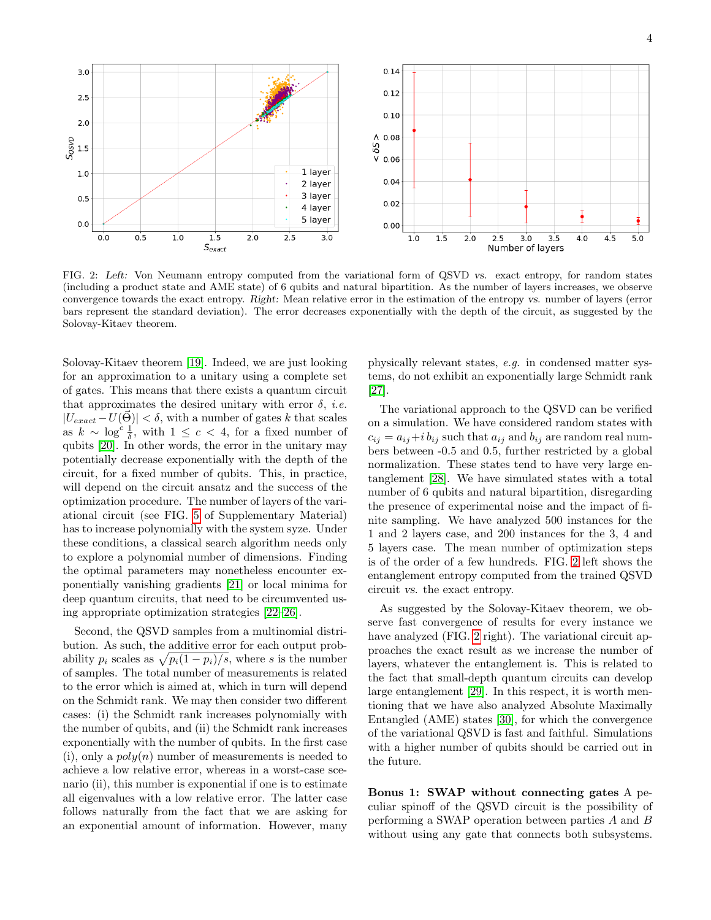

<span id="page-3-0"></span>FIG. 2: Left: Von Neumann entropy computed from the variational form of QSVD vs. exact entropy, for random states (including a product state and AME state) of 6 qubits and natural bipartition. As the number of layers increases, we observe convergence towards the exact entropy. Right: Mean relative error in the estimation of the entropy vs. number of layers (error bars represent the standard deviation). The error decreases exponentially with the depth of the circuit, as suggested by the Solovay-Kitaev theorem.

Solovay-Kitaev theorem [\[19\]](#page-5-16). Indeed, we are just looking for an approximation to a unitary using a complete set of gates. This means that there exists a quantum circuit that approximates the desired unitary with error  $\delta$ , *i.e.*  $|U_{exact} - U(\vec{\Theta})| < \delta$ , with a number of gates k that scales as  $k \sim \log^c \frac{1}{\delta}$ , with  $1 \leq c < 4$ , for a fixed number of qubits [\[20\]](#page-5-17). In other words, the error in the unitary may potentially decrease exponentially with the depth of the circuit, for a fixed number of qubits. This, in practice, will depend on the circuit ansatz and the success of the optimization procedure. The number of layers of the variational circuit (see FIG. [5](#page-6-0) of Supplementary Material) has to increase polynomially with the system syze. Under these conditions, a classical search algorithm needs only to explore a polynomial number of dimensions. Finding the optimal parameters may nonetheless encounter exponentially vanishing gradients [\[21\]](#page-5-18) or local minima for deep quantum circuits, that need to be circumvented using appropriate optimization strategies [\[22–](#page-5-19)[26\]](#page-5-20).

Second, the QSVD samples from a multinomial distribution. As such, the additive error for each output probability  $p_i$  scales as  $\sqrt{p_i(1-p_i)/s}$ , where s is the number of samples. The total number of measurements is related to the error which is aimed at, which in turn will depend on the Schmidt rank. We may then consider two different cases: (i) the Schmidt rank increases polynomially with the number of qubits, and (ii) the Schmidt rank increases exponentially with the number of qubits. In the first case (i), only a  $poly(n)$  number of measurements is needed to achieve a low relative error, whereas in a worst-case scenario (ii), this number is exponential if one is to estimate all eigenvalues with a low relative error. The latter case follows naturally from the fact that we are asking for an exponential amount of information. However, many physically relevant states, e.g. in condensed matter systems, do not exhibit an exponentially large Schmidt rank [\[27\]](#page-5-21).

The variational approach to the QSVD can be verified on a simulation. We have considered random states with  $c_{ij} = a_{ij} + i b_{ij}$  such that  $a_{ij}$  and  $b_{ij}$  are random real numbers between -0.5 and 0.5, further restricted by a global normalization. These states tend to have very large entanglement [\[28\]](#page-5-22). We have simulated states with a total number of 6 qubits and natural bipartition, disregarding the presence of experimental noise and the impact of finite sampling. We have analyzed 500 instances for the 1 and 2 layers case, and 200 instances for the 3, 4 and 5 layers case. The mean number of optimization steps is of the order of a few hundreds. FIG. [2](#page-3-0) left shows the entanglement entropy computed from the trained QSVD circuit vs. the exact entropy.

As suggested by the Solovay-Kitaev theorem, we observe fast convergence of results for every instance we have analyzed (FIG. [2](#page-3-0) right). The variational circuit approaches the exact result as we increase the number of layers, whatever the entanglement is. This is related to the fact that small-depth quantum circuits can develop large entanglement [\[29\]](#page-5-23). In this respect, it is worth mentioning that we have also analyzed Absolute Maximally Entangled (AME) states [\[30\]](#page-5-24), for which the convergence of the variational QSVD is fast and faithful. Simulations with a higher number of qubits should be carried out in the future.

Bonus 1: SWAP without connecting gates A peculiar spinoff of the QSVD circuit is the possibility of performing a SWAP operation between parties A and B without using any gate that connects both subsystems.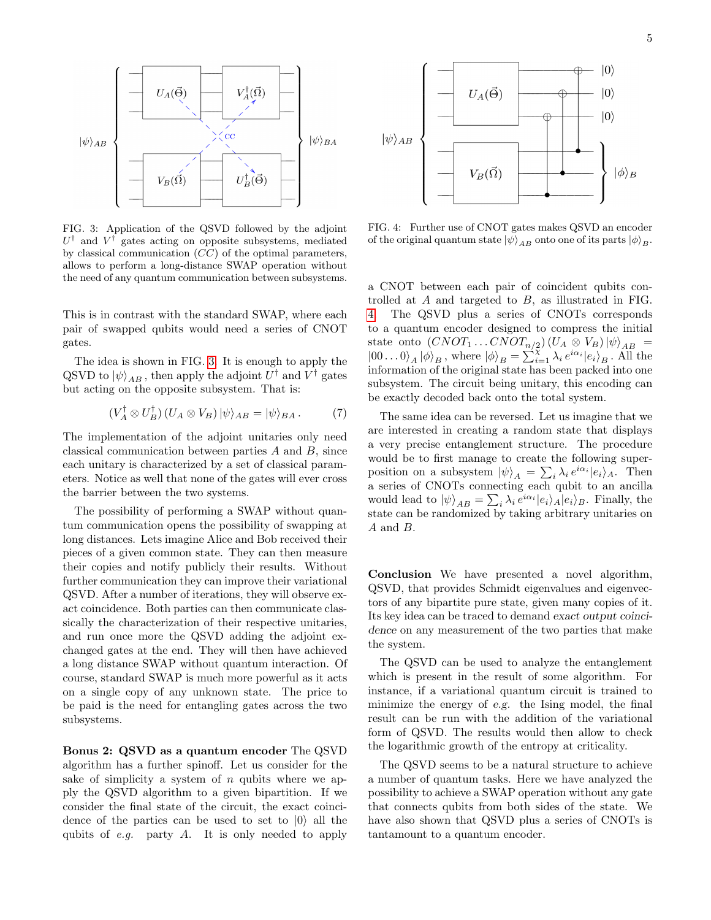

<span id="page-4-0"></span>FIG. 3: Application of the QSVD followed by the adjoint  $U^{\dagger}$  and  $V^{\dagger}$  gates acting on opposite subsystems, mediated by classical communication  $(CC)$  of the optimal parameters, allows to perform a long-distance SWAP operation without the need of any quantum communication between subsystems.

This is in contrast with the standard SWAP, where each pair of swapped qubits would need a series of CNOT gates.

The idea is shown in FIG. [3.](#page-4-0) It is enough to apply the  $\mathrm{QSVD}$  to  $\ket{\psi}_{AB}$ , then apply the adjoint  $U^\dagger$  and  $V^\dagger$  gates but acting on the opposite subsystem. That is:

$$
(V_A^{\dagger} \otimes U_B^{\dagger}) (U_A \otimes V_B) |\psi\rangle_{AB} = |\psi\rangle_{BA} . \tag{7}
$$

The implementation of the adjoint unitaries only need classical communication between parties A and B, since each unitary is characterized by a set of classical parameters. Notice as well that none of the gates will ever cross the barrier between the two systems.

The possibility of performing a SWAP without quantum communication opens the possibility of swapping at long distances. Lets imagine Alice and Bob received their pieces of a given common state. They can then measure their copies and notify publicly their results. Without further communication they can improve their variational QSVD. After a number of iterations, they will observe exact coincidence. Both parties can then communicate classically the characterization of their respective unitaries, and run once more the QSVD adding the adjoint exchanged gates at the end. They will then have achieved a long distance SWAP without quantum interaction. Of course, standard SWAP is much more powerful as it acts on a single copy of any unknown state. The price to be paid is the need for entangling gates across the two subsystems.

Bonus 2: QSVD as a quantum encoder The QSVD algorithm has a further spinoff. Let us consider for the sake of simplicity a system of  $n$  qubits where we apply the QSVD algorithm to a given bipartition. If we consider the final state of the circuit, the exact coincidence of the parties can be used to set to  $|0\rangle$  all the qubits of  $e.g.$  party  $A$ . It is only needed to apply



<span id="page-4-1"></span>FIG. 4: Further use of CNOT gates makes QSVD an encoder of the original quantum state  $|\psi\rangle_{AB}$  onto one of its parts  $|\phi\rangle_{B}$ .

a CNOT between each pair of coincident qubits controlled at A and targeted to B, as illustrated in FIG. [4.](#page-4-1) The QSVD plus a series of CNOTs corresponds to a quantum encoder designed to compress the initial state onto  $(CNOT_1 \dots CNOT_{n/2}) (U_A \otimes V_B) |\psi\rangle_{AB} =$  $|00...0\rangle_A |\phi\rangle_B$ , where  $|\phi\rangle_B = \sum_{i=1}^{N} \lambda_i e^{i\alpha_i} |e_i\rangle_B$ . All the information of the original state has been packed into one subsystem. The circuit being unitary, this encoding can be exactly decoded back onto the total system.

The same idea can be reversed. Let us imagine that we are interested in creating a random state that displays a very precise entanglement structure. The procedure would be to first manage to create the following superposition on a subsystem  $|\psi\rangle_A = \sum_i \lambda_i e^{i\alpha_i} |e_i\rangle_A$ . Then a series of CNOTs connecting each qubit to an ancilla would lead to  $|\psi\rangle_{AB} = \sum_i \lambda_i e^{i\alpha_i} |e_i\rangle_A |e_i\rangle_B$ . Finally, the state can be randomized by taking arbitrary unitaries on A and B.

Conclusion We have presented a novel algorithm, QSVD, that provides Schmidt eigenvalues and eigenvectors of any bipartite pure state, given many copies of it. Its key idea can be traced to demand exact output coincidence on any measurement of the two parties that make the system.

The QSVD can be used to analyze the entanglement which is present in the result of some algorithm. For instance, if a variational quantum circuit is trained to minimize the energy of e.g. the Ising model, the final result can be run with the addition of the variational form of QSVD. The results would then allow to check the logarithmic growth of the entropy at criticality.

The QSVD seems to be a natural structure to achieve a number of quantum tasks. Here we have analyzed the possibility to achieve a SWAP operation without any gate that connects qubits from both sides of the state. We have also shown that QSVD plus a series of CNOTs is tantamount to a quantum encoder.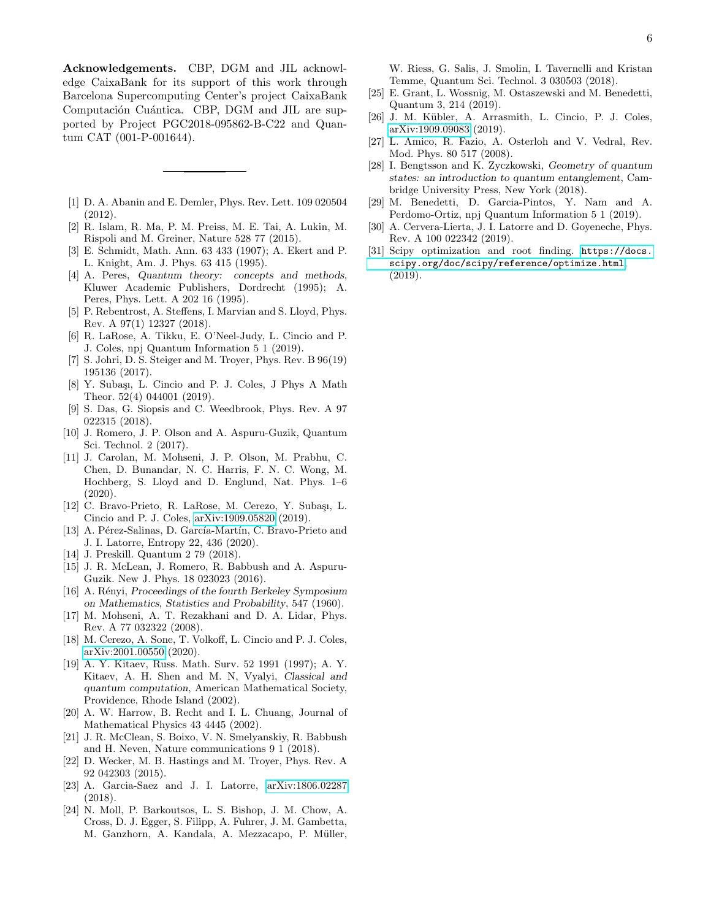Acknowledgements. CBP, DGM and JIL acknowledge CaixaBank for its support of this work through Barcelona Supercomputing Center's project CaixaBank Computación Cuántica. CBP, DGM and JIL are supported by Project PGC2018-095862-B-C22 and Quantum CAT (001-P-001644).

- <span id="page-5-0"></span>[1] D. A. Abanin and E. Demler, Phys. Rev. Lett. 109 020504 (2012).
- <span id="page-5-1"></span>[2] R. Islam, R. Ma, P. M. Preiss, M. E. Tai, A. Lukin, M. Rispoli and M. Greiner, Nature 528 77 (2015).
- <span id="page-5-2"></span>[3] E. Schmidt, Math. Ann. 63 433 (1907); A. Ekert and P. L. Knight, Am. J. Phys. 63 415 (1995).
- <span id="page-5-3"></span>[4] A. Peres, Quantum theory: concepts and methods, Kluwer Academic Publishers, Dordrecht (1995); A. Peres, Phys. Lett. A 202 16 (1995).
- <span id="page-5-4"></span>[5] P. Rebentrost, A. Steffens, I. Marvian and S. Lloyd, Phys. Rev. A 97(1) 12327 (2018).
- <span id="page-5-5"></span>[6] R. LaRose, A. Tikku, E. O'Neel-Judy, L. Cincio and P. J. Coles, npj Quantum Information 5 1 (2019).
- <span id="page-5-6"></span>[7] S. Johri, D. S. Steiger and M. Troyer, Phys. Rev. B 96(19) 195136 (2017).
- <span id="page-5-7"></span>[8] Y. Subaşı, L. Cincio and P. J. Coles, J Phys A Math Theor. 52(4) 044001 (2019).
- <span id="page-5-8"></span>[9] S. Das, G. Siopsis and C. Weedbrook, Phys. Rev. A 97 022315 (2018).
- <span id="page-5-9"></span>[10] J. Romero, J. P. Olson and A. Aspuru-Guzik, Quantum Sci. Technol. 2 (2017).
- [11] J. Carolan, M. Mohseni, J. P. Olson, M. Prabhu, C. Chen, D. Bunandar, N. C. Harris, F. N. C. Wong, M. Hochberg, S. Lloyd and D. Englund, Nat. Phys. 1–6 (2020).
- [12] C. Bravo-Prieto, R. LaRose, M. Cerezo, Y. Subaşı, L. Cincio and P. J. Coles, [arXiv:1909.05820](http://arxiv.org/abs/1909.05820) (2019).
- <span id="page-5-10"></span>[13] A. Pérez-Salinas, D. García-Martín, C. Bravo-Prieto and J. I. Latorre, Entropy 22, 436 (2020).
- <span id="page-5-11"></span>[14] J. Preskill. Quantum 2 79 (2018).
- <span id="page-5-12"></span>[15] J. R. McLean, J. Romero, R. Babbush and A. Aspuru-Guzik. New J. Phys. 18 023023 (2016).
- <span id="page-5-13"></span>[16] A. Rényi, Proceedings of the fourth Berkeley Symposium on Mathematics, Statistics and Probability, 547 (1960).
- <span id="page-5-14"></span>[17] M. Mohseni, A. T. Rezakhani and D. A. Lidar, Phys. Rev. A 77 032322 (2008).
- <span id="page-5-15"></span>[18] M. Cerezo, A. Sone, T. Volkoff, L. Cincio and P. J. Coles, [arXiv:2001.00550](http://arxiv.org/abs/2001.00550) (2020).
- <span id="page-5-16"></span>[19] A. Y. Kitaev, Russ. Math. Surv. 52 1991 (1997); A. Y. Kitaev, A. H. Shen and M. N, Vyalyi, Classical and quantum computation, American Mathematical Society, Providence, Rhode Island (2002).
- <span id="page-5-17"></span>[20] A. W. Harrow, B. Recht and I. L. Chuang, Journal of Mathematical Physics 43 4445 (2002).
- <span id="page-5-18"></span>[21] J. R. McClean, S. Boixo, V. N. Smelyanskiy, R. Babbush and H. Neven, Nature communications 9 1 (2018).
- <span id="page-5-19"></span>[22] D. Wecker, M. B. Hastings and M. Troyer, Phys. Rev. A 92 042303 (2015).
- [23] A. Garcia-Saez and J. I. Latorre, [arXiv:1806.02287](http://arxiv.org/abs/1806.02287) (2018).
- [24] N. Moll, P. Barkoutsos, L. S. Bishop, J. M. Chow, A. Cross, D. J. Egger, S. Filipp, A. Fuhrer, J. M. Gambetta, M. Ganzhorn, A. Kandala, A. Mezzacapo, P. Müller,

W. Riess, G. Salis, J. Smolin, I. Tavernelli and Kristan Temme, Quantum Sci. Technol. 3 030503 (2018).

- [25] E. Grant, L. Wossnig, M. Ostaszewski and M. Benedetti, Quantum 3, 214 (2019).
- <span id="page-5-20"></span>[26] J. M. K¨ubler, A. Arrasmith, L. Cincio, P. J. Coles, [arXiv:1909.09083](http://arxiv.org/abs/1909.09083) (2019).
- <span id="page-5-21"></span>[27] L. Amico, R. Fazio, A. Osterloh and V. Vedral, Rev. Mod. Phys. 80 517 (2008).
- <span id="page-5-22"></span>[28] I. Bengtsson and K. Zyczkowski, Geometry of quantum states: an introduction to quantum entanglement, Cambridge University Press, New York (2018).
- <span id="page-5-23"></span>[29] M. Benedetti, D. Garcia-Pintos, Y. Nam and A. Perdomo-Ortiz, npj Quantum Information 5 1 (2019).
- <span id="page-5-24"></span>[30] A. Cervera-Lierta, J. I. Latorre and D. Goyeneche, Phys. Rev. A 100 022342 (2019).
- <span id="page-5-25"></span>[31] Scipy optimization and root finding. [https://docs.](https://docs.scipy.org/doc/scipy/reference/optimize.html) [scipy.org/doc/scipy/reference/optimize.html](https://docs.scipy.org/doc/scipy/reference/optimize.html), (2019).